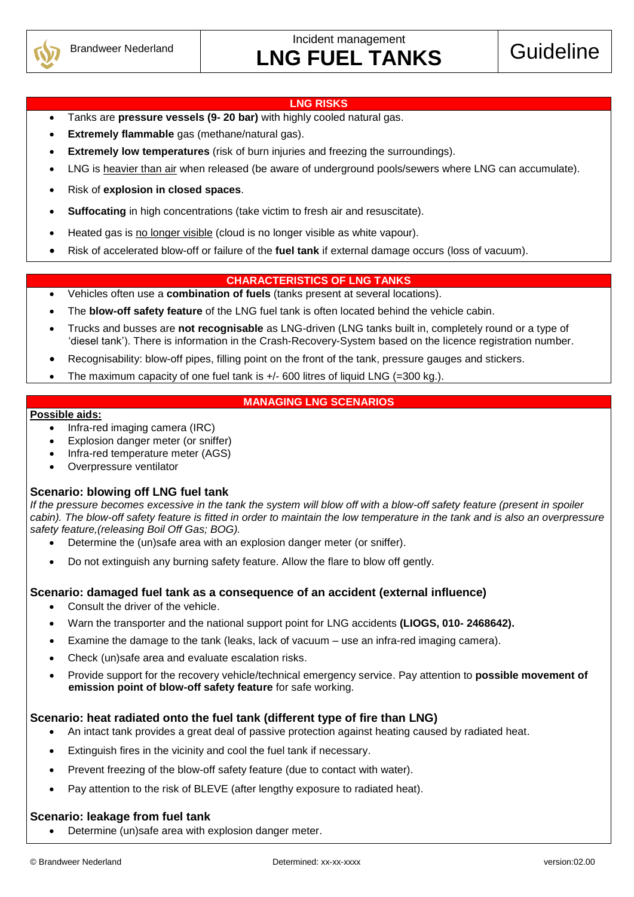

Incident management LNG FUEL TANKS Guideline

#### **LNG RISKS**

- Tanks are **pressure vessels (9- 20 bar)** with highly cooled natural gas.
- **Extremely flammable** gas (methane/natural gas).
- **Extremely low temperatures** (risk of burn injuries and freezing the surroundings).
- LNG is heavier than air when released (be aware of underground pools/sewers where LNG can accumulate).
- Risk of **explosion in closed spaces**.
- **Suffocating** in high concentrations (take victim to fresh air and resuscitate).
- Heated gas is no longer visible (cloud is no longer visible as white vapour).
- Risk of accelerated blow-off or failure of the **fuel tank** if external damage occurs (loss of vacuum).

#### **CHARACTERISTICS OF LNG TANKS**

- Vehicles often use a **combination of fuels** (tanks present at several locations).
- The **blow-off safety feature** of the LNG fuel tank is often located behind the vehicle cabin.
- Trucks and busses are **not recognisable** as LNG-driven (LNG tanks built in, completely round or a type of 'diesel tank'). There is information in the Crash-Recovery-System based on the licence registration number.
- Recognisability: blow-off pipes, filling point on the front of the tank, pressure gauges and stickers.
- The maximum capacity of one fuel tank is +/- 600 litres of liquid LNG (=300 kg.).

#### **MANAGING LNG SCENARIOS**

#### **Possible aids:**

- Infra-red imaging camera (IRC)
- Explosion danger meter (or sniffer)
- Infra-red temperature meter (AGS)
- Overpressure ventilator

#### **Scenario: blowing off LNG fuel tank**

*If the pressure becomes excessive in the tank the system will blow off with a blow-off safety feature (present in spoiler cabin). The blow-off safety feature is fitted in order to maintain the low temperature in the tank and is also an overpressure safety feature,(releasing Boil Off Gas; BOG).*

- Determine the (un)safe area with an explosion danger meter (or sniffer).
- Do not extinguish any burning safety feature. Allow the flare to blow off gently.

#### **Scenario: damaged fuel tank as a consequence of an accident (external influence)**

- Consult the driver of the vehicle.
- Warn the transporter and the national support point for LNG accidents **(LIOGS, 010- 2468642).**
- Examine the damage to the tank (leaks, lack of vacuum use an infra-red imaging camera).
- Check (un)safe area and evaluate escalation risks.
- Provide support for the recovery vehicle/technical emergency service. Pay attention to **possible movement of emission point of blow-off safety feature** for safe working.

#### **Scenario: heat radiated onto the fuel tank (different type of fire than LNG)**

- An intact tank provides a great deal of passive protection against heating caused by radiated heat.
- Extinguish fires in the vicinity and cool the fuel tank if necessary.
- Prevent freezing of the blow-off safety feature (due to contact with water).
- Pay attention to the risk of BLEVE (after lengthy exposure to radiated heat).

#### **Scenario: leakage from fuel tank**

Determine (un)safe area with explosion danger meter.